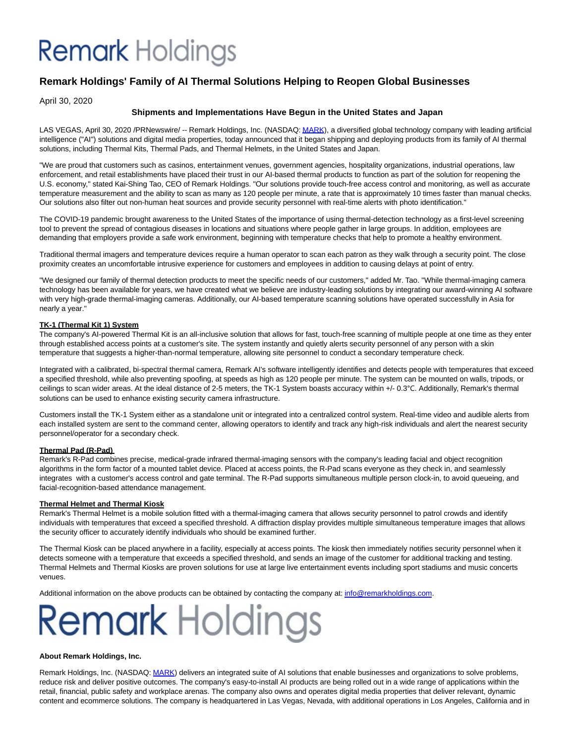## **Remark** Holdings

### **Remark Holdings' Family of AI Thermal Solutions Helping to Reopen Global Businesses**

April 30, 2020

#### **Shipments and Implementations Have Begun in the United States and Japan**

LAS VEGAS, April 30, 2020 /PRNewswire/ -- Remark Holdings, Inc. (NASDAQ[: MARK\)](https://c212.net/c/link/?t=0&l=en&o=2790967-1&h=3567739322&u=http%3A%2F%2Fwww.remarkholdings.com%2F&a=MARK), a diversified global technology company with leading artificial intelligence ("AI") solutions and digital media properties, today announced that it began shipping and deploying products from its family of AI thermal solutions, including Thermal Kits, Thermal Pads, and Thermal Helmets, in the United States and Japan.

"We are proud that customers such as casinos, entertainment venues, government agencies, hospitality organizations, industrial operations, law enforcement, and retail establishments have placed their trust in our AI-based thermal products to function as part of the solution for reopening the U.S. economy," stated Kai-Shing Tao, CEO of Remark Holdings. "Our solutions provide touch-free access control and monitoring, as well as accurate temperature measurement and the ability to scan as many as 120 people per minute, a rate that is approximately 10 times faster than manual checks. Our solutions also filter out non-human heat sources and provide security personnel with real-time alerts with photo identification."

The COVID-19 pandemic brought awareness to the United States of the importance of using thermal-detection technology as a first-level screening tool to prevent the spread of contagious diseases in locations and situations where people gather in large groups. In addition, employees are demanding that employers provide a safe work environment, beginning with temperature checks that help to promote a healthy environment.

Traditional thermal imagers and temperature devices require a human operator to scan each patron as they walk through a security point. The close proximity creates an uncomfortable intrusive experience for customers and employees in addition to causing delays at point of entry.

"We designed our family of thermal detection products to meet the specific needs of our customers," added Mr. Tao. "While thermal-imaging camera technology has been available for years, we have created what we believe are industry-leading solutions by integrating our award-winning AI software with very high-grade thermal-imaging cameras. Additionally, our AI-based temperature scanning solutions have operated successfully in Asia for nearly a year."

#### **TK-1 (Thermal Kit 1) System**

The company's AI-powered Thermal Kit is an all-inclusive solution that allows for fast, touch-free scanning of multiple people at one time as they enter through established access points at a customer's site. The system instantly and quietly alerts security personnel of any person with a skin temperature that suggests a higher-than-normal temperature, allowing site personnel to conduct a secondary temperature check.

Integrated with a calibrated, bi-spectral thermal camera, Remark AI's software intelligently identifies and detects people with temperatures that exceed a specified threshold, while also preventing spoofing, at speeds as high as 120 people per minute. The system can be mounted on walls, tripods, or ceilings to scan wider areas. At the ideal distance of 2-5 meters, the TK-1 System boasts accuracy within +/- 0.3℃. Additionally, Remark's thermal solutions can be used to enhance existing security camera infrastructure.

Customers install the TK-1 System either as a standalone unit or integrated into a centralized control system. Real-time video and audible alerts from each installed system are sent to the command center, allowing operators to identify and track any high-risk individuals and alert the nearest security personnel/operator for a secondary check.

#### **Thermal Pad (R-Pad)**

Remark's R-Pad combines precise, medical-grade infrared thermal-imaging sensors with the company's leading facial and object recognition algorithms in the form factor of a mounted tablet device. Placed at access points, the R-Pad scans everyone as they check in, and seamlessly integrates with a customer's access control and gate terminal. The R-Pad supports simultaneous multiple person clock-in, to avoid queueing, and facial-recognition-based attendance management.

#### **Thermal Helmet and Thermal Kiosk**

Remark's Thermal Helmet is a mobile solution fitted with a thermal-imaging camera that allows security personnel to patrol crowds and identify individuals with temperatures that exceed a specified threshold. A diffraction display provides multiple simultaneous temperature images that allows the security officer to accurately identify individuals who should be examined further.

The Thermal Kiosk can be placed anywhere in a facility, especially at access points. The kiosk then immediately notifies security personnel when it detects someone with a temperature that exceeds a specified threshold, and sends an image of the customer for additional tracking and testing. Thermal Helmets and Thermal Kiosks are proven solutions for use at large live entertainment events including sport stadiums and music concerts venues.

Additional information on the above products can be obtained by contacting the company at[: info@remarkholdings.com.](mailto:info@remarkholdings.com)

# **Remark Holdings**

#### **About Remark Holdings, Inc.**

Remark Holdings, Inc. (NASDAQ: [MARK\)](https://c212.net/c/link/?t=0&l=en&o=2790967-1&h=2745674649&u=http%3A%2F%2Fremarkholdings.com%2F&a=MARK) delivers an integrated suite of AI solutions that enable businesses and organizations to solve problems, reduce risk and deliver positive outcomes. The company's easy-to-install AI products are being rolled out in a wide range of applications within the retail, financial, public safety and workplace arenas. The company also owns and operates digital media properties that deliver relevant, dynamic content and ecommerce solutions. The company is headquartered in Las Vegas, Nevada, with additional operations in Los Angeles, California and in